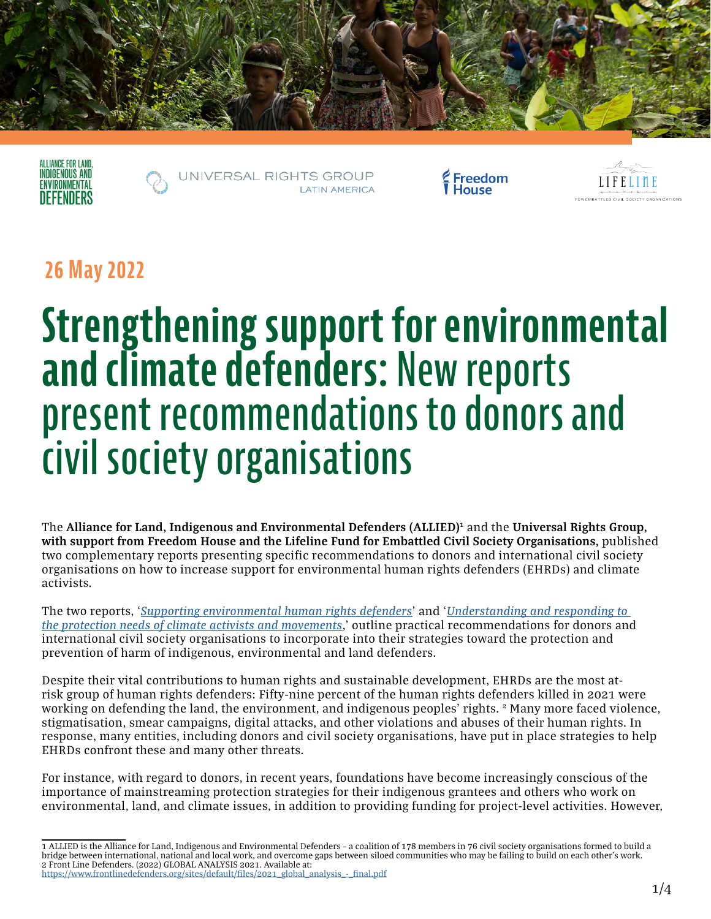





reedom



### **26 May 2022**

# **Strengthening support for environmental and climate defenders: New reports present recommendations to donors and civil society organisations**

The Alliance for Land, Indigenous and Environmental Defenders (ALLIED)<sup>1</sup> and the Universal Rights Group, **with support from Freedom House and the Lifeline Fund for Embattled Civil Society Organisations,** published two complementary reports presenting specific recommendations to donors and international civil society organisations on how to increase support for environmental human rights defenders (EHRDs) and climate activists.

The two reports, '*[Supporting environmental human rights defenders](https://www.universal-rights.org/urg-policy-reports/supporting-environmental-human-rights-defenders-developing-new-guidance-for-donors-and-civil-society-organisations/)*' and '*[Understanding and responding to](https://www.universal-rights.org/urg-policy-reports/understanding-and-responding-to-the-protection-needs-of-climate-activists-and-movements/)  [the protection needs of climate activists and movements](https://www.universal-rights.org/urg-policy-reports/understanding-and-responding-to-the-protection-needs-of-climate-activists-and-movements/)*,' outline practical recommendations for donors and international civil society organisations to incorporate into their strategies toward the protection and prevention of harm of indigenous, environmental and land defenders.

Despite their vital contributions to human rights and sustainable development, EHRDs are the most atrisk group of human rights defenders: Fifty-nine percent of the human rights defenders killed in 2021 were working on defending the land, the environment, and indigenous peoples' rights. <sup>2</sup> Many more faced violence, stigmatisation, smear campaigns, digital attacks, and other violations and abuses of their human rights. In response, many entities, including donors and civil society organisations, have put in place strategies to help EHRDs confront these and many other threats.

For instance, with regard to donors, in recent years, foundations have become increasingly conscious of the importance of mainstreaming protection strategies for their indigenous grantees and others who work on environmental, land, and climate issues, in addition to providing funding for project-level activities. However,

<sup>1</sup> ALLIED is the Alliance for Land, Indigenous and Environmental Defenders – a coalition of 178 members in 76 civil society organisations formed to build a bridge between international, national and local work, and overcome gaps between siloed communities who may be failing to build on each other's work. 2 Front Line Defenders. (2022) GLOBAL ANALYSIS 2021. Available at: [https://www.frontlinedefenders.org/sites/default/files/2021\\_global\\_analysis\\_-\\_final.pdf](https://www.frontlinedefenders.org/sites/default/files/2021_global_analysis_-_final.pdf)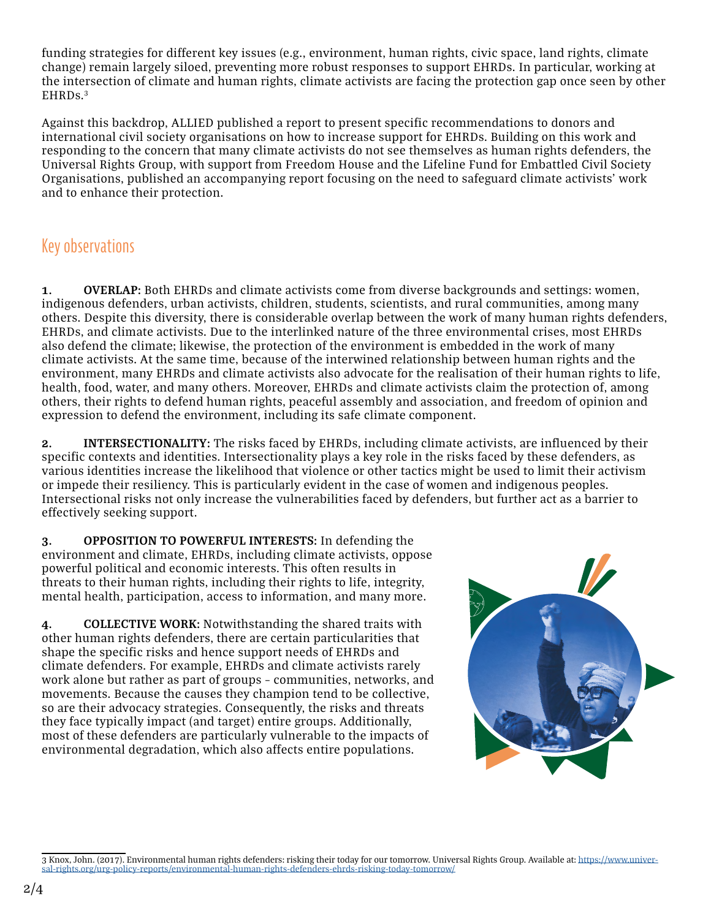funding strategies for different key issues (e.g., environment, human rights, civic space, land rights, climate change) remain largely siloed, preventing more robust responses to support EHRDs. In particular, working at the intersection of climate and human rights, climate activists are facing the protection gap once seen by other EHRDs.3

Against this backdrop, ALLIED published a report to present specific recommendations to donors and international civil society organisations on how to increase support for EHRDs. Building on this work and responding to the concern that many climate activists do not see themselves as human rights defenders, the Universal Rights Group, with support from Freedom House and the Lifeline Fund for Embattled Civil Society Organisations, published an accompanying report focusing on the need to safeguard climate activists' work and to enhance their protection.

#### Key observations

**1. OVERLAP:** Both EHRDs and climate activists come from diverse backgrounds and settings: women, indigenous defenders, urban activists, children, students, scientists, and rural communities, among many others. Despite this diversity, there is considerable overlap between the work of many human rights defenders, EHRDs, and climate activists. Due to the interlinked nature of the three environmental crises, most EHRDs also defend the climate; likewise, the protection of the environment is embedded in the work of many climate activists. At the same time, because of the interwined relationship between human rights and the environment, many EHRDs and climate activists also advocate for the realisation of their human rights to life, health, food, water, and many others. Moreover, EHRDs and climate activists claim the protection of, among others, their rights to defend human rights, peaceful assembly and association, and freedom of opinion and expression to defend the environment, including its safe climate component.

**2. INTERSECTIONALITY:** The risks faced by EHRDs, including climate activists, are influenced by their specific contexts and identities. Intersectionality plays a key role in the risks faced by these defenders, as various identities increase the likelihood that violence or other tactics might be used to limit their activism or impede their resiliency. This is particularly evident in the case of women and indigenous peoples. Intersectional risks not only increase the vulnerabilities faced by defenders, but further act as a barrier to effectively seeking support.

**3. OPPOSITION TO POWERFUL INTERESTS:** In defending the environment and climate, EHRDs, including climate activists, oppose powerful political and economic interests. This often results in threats to their human rights, including their rights to life, integrity, mental health, participation, access to information, and many more.

**4. COLLECTIVE WORK:** Notwithstanding the shared traits with other human rights defenders, there are certain particularities that shape the specific risks and hence support needs of EHRDs and climate defenders. For example, EHRDs and climate activists rarely work alone but rather as part of groups – communities, networks, and movements. Because the causes they champion tend to be collective, so are their advocacy strategies. Consequently, the risks and threats they face typically impact (and target) entire groups. Additionally, most of these defenders are particularly vulnerable to the impacts of environmental degradation, which also affects entire populations.



<sup>3</sup> Knox, John. (2017). Environmental human rights defenders: risking their today for our tomorrow. Universal Rights Group. Available at: [https://www.univer](https://www.universal-rights.org/urg-policy-reports/environmental-human-rights-defenders-ehrds-risking-today-tomorrow/)[sal-rights.org/urg-policy-reports/environmental-human-rights-defenders-ehrds-risking-today-tomorrow/](https://www.universal-rights.org/urg-policy-reports/environmental-human-rights-defenders-ehrds-risking-today-tomorrow/)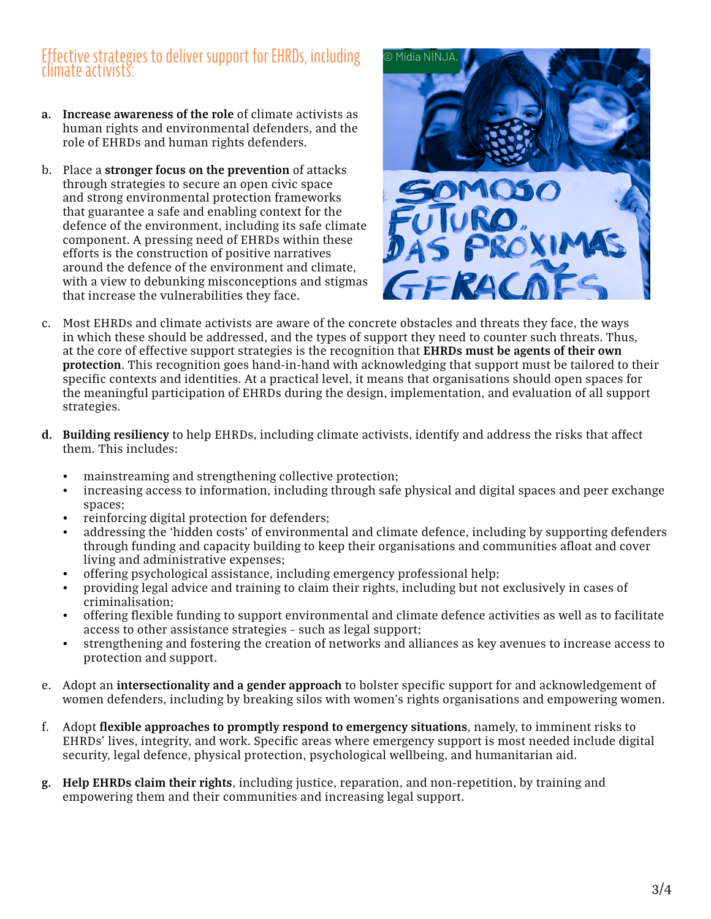## Effective strategies to deliver support for EHRDs, including climate activists:

- **a. Increase awareness of the role** of climate activists as human rights and environmental defenders, and the role of EHRDs and human rights defenders.
- b. Place a **stronger focus on the prevention** of attacks through strategies to secure an open civic space and strong environmental protection frameworks that guarantee a safe and enabling context for the defence of the environment, including its safe climate component. A pressing need of EHRDs within these efforts is the construction of positive narratives around the defence of the environment and climate, with a view to debunking misconceptions and stigmas that increase the vulnerabilities they face.



- c. Most EHRDs and climate activists are aware of the concrete obstacles and threats they face, the ways in which these should be addressed, and the types of support they need to counter such threats. Thus, at the core of effective support strategies is the recognition that **EHRDs must be agents of their own protection**. This recognition goes hand-in-hand with acknowledging that support must be tailored to their specific contexts and identities. At a practical level, it means that organisations should open spaces for the meaningful participation of EHRDs during the design, implementation, and evaluation of all support strategies.
- **d. Building resiliency** to help EHRDs, including climate activists, identify and address the risks that affect them. This includes:
	- mainstreaming and strengthening collective protection;
	- increasing access to information, including through safe physical and digital spaces and peer exchange spaces;
	- reinforcing digital protection for defenders;
	- addressing the 'hidden costs' of environmental and climate defence, including by supporting defenders through funding and capacity building to keep their organisations and communities afloat and cover living and administrative expenses;
	- offering psychological assistance, including emergency professional help;
	- providing legal advice and training to claim their rights, including but not exclusively in cases of criminalisation;
	- offering flexible funding to support environmental and climate defence activities as well as to facilitate access to other assistance strategies – such as legal support;
	- strengthening and fostering the creation of networks and alliances as key avenues to increase access to protection and support.
- e. Adopt an **intersectionality and a gender approach** to bolster specific support for and acknowledgement of women defenders, including by breaking silos with women's rights organisations and empowering women.
- f. Adopt **flexible approaches to promptly respond to emergency situations**, namely, to imminent risks to EHRDs' lives, integrity, and work. Specific areas where emergency support is most needed include digital security, legal defence, physical protection, psychological wellbeing, and humanitarian aid.
- **g. Help EHRDs claim their rights**, including justice, reparation, and non-repetition, by training and empowering them and their communities and increasing legal support.